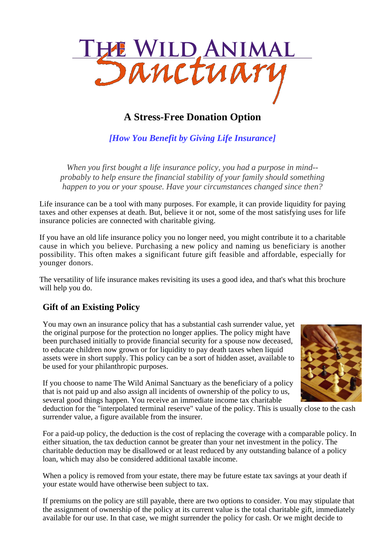

# **A Stress-Free Donation Option**

*[How You Benefit by Giving Life Insurance]*

*When you first bought a life insurance policy, you had a purpose in mind- probably to help ensure the financial stability of your family should something happen to you or your spouse. Have your circumstances changed since then?*

Life insurance can be a tool with many purposes. For example, it can provide liquidity for paying taxes and other expenses at death. But, believe it or not, some of the most satisfying uses for life insurance policies are connected with charitable giving.

If you have an old life insurance policy you no longer need, you might contribute it to a charitable cause in which you believe. Purchasing a new policy and naming us beneficiary is another possibility. This often makes a significant future gift feasible and affordable, especially for younger donors.

The versatility of life insurance makes revisiting its uses a good idea, and that's what this brochure will help you do.

## **Gift of an Existing Policy**

You may own an insurance policy that has a substantial cash surrender value, yet the original purpose for the protection no longer applies. The policy might have been purchased initially to provide financial security for a spouse now deceased, to educate children now grown or for liquidity to pay death taxes when liquid assets were in short supply. This policy can be a sort of hidden asset, available to be used for your philanthropic purposes.



If you choose to name The Wild Animal Sanctuary as the beneficiary of a policy that is not paid up and also assign all incidents of ownership of the policy to us, several good things happen. You receive an immediate income tax charitable

deduction for the "interpolated terminal reserve" value of the policy. This is usually close to the cash surrender value, a figure available from the insurer.

For a paid-up policy, the deduction is the cost of replacing the coverage with a comparable policy. In either situation, the tax deduction cannot be greater than your net investment in the policy. The charitable deduction may be disallowed or at least reduced by any outstanding balance of a policy loan, which may also be considered additional taxable income.

When a policy is removed from your estate, there may be future estate tax savings at your death if your estate would have otherwise been subject to tax.

If premiums on the policy are still payable, there are two options to consider. You may stipulate that the assignment of ownership of the policy at its current value is the total charitable gift, immediately available for our use. In that case, we might surrender the policy for cash. Or we might decide to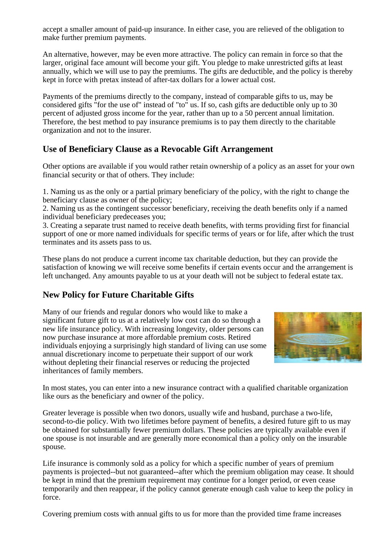accept a smaller amount of paid-up insurance. In either case, you are relieved of the obligation to make further premium payments.

An alternative, however, may be even more attractive. The policy can remain in force so that the larger, original face amount will become your gift. You pledge to make unrestricted gifts at least annually, which we will use to pay the premiums. The gifts are deductible, and the policy is thereby kept in force with pretax instead of after-tax dollars for a lower actual cost.

Payments of the premiums directly to the company, instead of comparable gifts to us, may be considered gifts "for the use of" instead of "to" us. If so, cash gifts are deductible only up to 30 percent of adjusted gross income for the year, rather than up to a 50 percent annual limitation. Therefore, the best method to pay insurance premiums is to pay them directly to the charitable organization and not to the insurer.

#### **Use of Beneficiary Clause as a Revocable Gift Arrangement**

Other options are available if you would rather retain ownership of a policy as an asset for your own financial security or that of others. They include:

1. Naming us as the only or a partial primary beneficiary of the policy, with the right to change the beneficiary clause as owner of the policy;

2. Naming us as the contingent successor beneficiary, receiving the death benefits only if a named individual beneficiary predeceases you;

3. Creating a separate trust named to receive death benefits, with terms providing first for financial support of one or more named individuals for specific terms of years or for life, after which the trust terminates and its assets pass to us.

These plans do not produce a current income tax charitable deduction, but they can provide the satisfaction of knowing we will receive some benefits if certain events occur and the arrangement is left unchanged. Any amounts payable to us at your death will not be subject to federal estate tax.

## **New Policy for Future Charitable Gifts**

Many of our friends and regular donors who would like to make a significant future gift to us at a relatively low cost can do so through a new life insurance policy. With increasing longevity, older persons can now purchase insurance at more affordable premium costs. Retired individuals enjoying a surprisingly high standard of living can use some annual discretionary income to perpetuate their support of our work without depleting their financial reserves or reducing the projected inheritances of family members.



In most states, you can enter into a new insurance contract with a qualified charitable organization like ours as the beneficiary and owner of the policy.

Greater leverage is possible when two donors, usually wife and husband, purchase a two-life, second-to-die policy. With two lifetimes before payment of benefits, a desired future gift to us may be obtained for substantially fewer premium dollars. These policies are typically available even if one spouse is not insurable and are generally more economical than a policy only on the insurable spouse.

Life insurance is commonly sold as a policy for which a specific number of years of premium payments is projected--but not guaranteed--after which the premium obligation may cease. It should be kept in mind that the premium requirement may continue for a longer period, or even cease temporarily and then reappear, if the policy cannot generate enough cash value to keep the policy in force.

Covering premium costs with annual gifts to us for more than the provided time frame increases